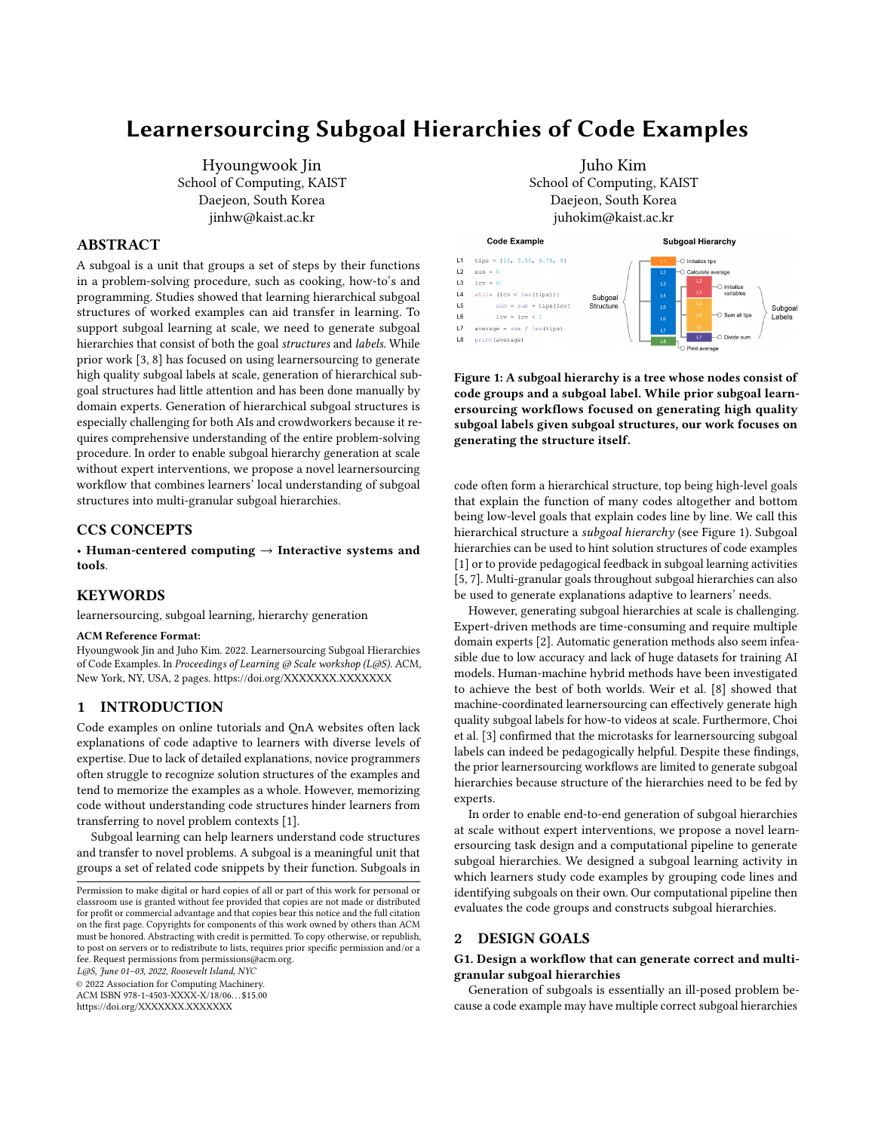# Learnersourcing Subgoal Hierarchies of Code Examples

Hyoungwook Jin School of Computing, KAIST Daejeon, South Korea jinhw@kaist.ac.kr

# ABSTRACT

A subgoal is a unit that groups a set of steps by their functions in a problem-solving procedure, such as cooking, how-to's and programming. Studies showed that learning hierarchical subgoal structures of worked examples can aid transfer in learning. To support subgoal learning at scale, we need to generate subgoal hierarchies that consist of both the goal structures and labels. While prior work [\[3,](#page-1-0) [8\]](#page-1-1) has focused on using learnersourcing to generate high quality subgoal labels at scale, generation of hierarchical subgoal structures had little attention and has been done manually by domain experts. Generation of hierarchical subgoal structures is especially challenging for both AIs and crowdworkers because it requires comprehensive understanding of the entire problem-solving procedure. In order to enable subgoal hierarchy generation at scale without expert interventions, we propose a novel learnersourcing workflow that combines learners' local understanding of subgoal structures into multi-granular subgoal hierarchies.

## CCS CONCEPTS

• Human-centered computing → Interactive systems and tools.

## **KEYWORDS**

learnersourcing, subgoal learning, hierarchy generation

#### ACM Reference Format:

Hyoungwook Jin and Juho Kim. 2022. Learnersourcing Subgoal Hierarchies of Code Examples. In Proceedings of Learning @ Scale workshop (L@S). ACM, New York, NY, USA, [2](#page-1-2) pages.<https://doi.org/XXXXXXX.XXXXXXX>

# 1 INTRODUCTION

Code examples on online tutorials and QnA websites often lack explanations of code adaptive to learners with diverse levels of expertise. Due to lack of detailed explanations, novice programmers often struggle to recognize solution structures of the examples and tend to memorize the examples as a whole. However, memorizing code without understanding code structures hinder learners from transferring to novel problem contexts [\[1\]](#page-1-3).

Subgoal learning can help learners understand code structures and transfer to novel problems. A subgoal is a meaningful unit that groups a set of related code snippets by their function. Subgoals in

L@S, June 01–03, 2022, Roosevelt Island, NYC

© 2022 Association for Computing Machinery.

ACM ISBN 978-1-4503-XXXX-X/18/06. . . \$15.00

<https://doi.org/XXXXXXX.XXXXXXX>



<span id="page-0-0"></span>

Figure 1: A subgoal hierarchy is a tree whose nodes consist of code groups and a subgoal label. While prior subgoal learnersourcing workflows focused on generating high quality subgoal labels given subgoal structures, our work focuses on generating the structure itself.

code often form a hierarchical structure, top being high-level goals that explain the function of many codes altogether and bottom being low-level goals that explain codes line by line. We call this hierarchical structure a subgoal hierarchy (see Figure [1\)](#page-0-0). Subgoal hierarchies can be used to hint solution structures of code examples [\[1\]](#page-1-3) or to provide pedagogical feedback in subgoal learning activities [\[5,](#page-1-4) [7\]](#page-1-5). Multi-granular goals throughout subgoal hierarchies can also be used to generate explanations adaptive to learners' needs.

However, generating subgoal hierarchies at scale is challenging. Expert-driven methods are time-consuming and require multiple domain experts [\[2\]](#page-1-6). Automatic generation methods also seem infeasible due to low accuracy and lack of huge datasets for training AI models. Human-machine hybrid methods have been investigated to achieve the best of both worlds. Weir et al. [\[8\]](#page-1-1) showed that machine-coordinated learnersourcing can effectively generate high quality subgoal labels for how-to videos at scale. Furthermore, Choi et al. [\[3\]](#page-1-0) confirmed that the microtasks for learnersourcing subgoal labels can indeed be pedagogically helpful. Despite these findings, the prior learnersourcing workflows are limited to generate subgoal hierarchies because structure of the hierarchies need to be fed by experts.

In order to enable end-to-end generation of subgoal hierarchies at scale without expert interventions, we propose a novel learnersourcing task design and a computational pipeline to generate subgoal hierarchies. We designed a subgoal learning activity in which learners study code examples by grouping code lines and identifying subgoals on their own. Our computational pipeline then evaluates the code groups and constructs subgoal hierarchies.

#### 2 DESIGN GOALS

## G1. Design a workflow that can generate correct and multigranular subgoal hierarchies

Generation of subgoals is essentially an ill-posed problem because a code example may have multiple correct subgoal hierarchies

Permission to make digital or hard copies of all or part of this work for personal or classroom use is granted without fee provided that copies are not made or distributed for profit or commercial advantage and that copies bear this notice and the full citation on the first page. Copyrights for components of this work owned by others than ACM must be honored. Abstracting with credit is permitted. To copy otherwise, or republish, to post on servers or to redistribute to lists, requires prior specific permission and/or a fee. Request permissions from permissions@acm.org.